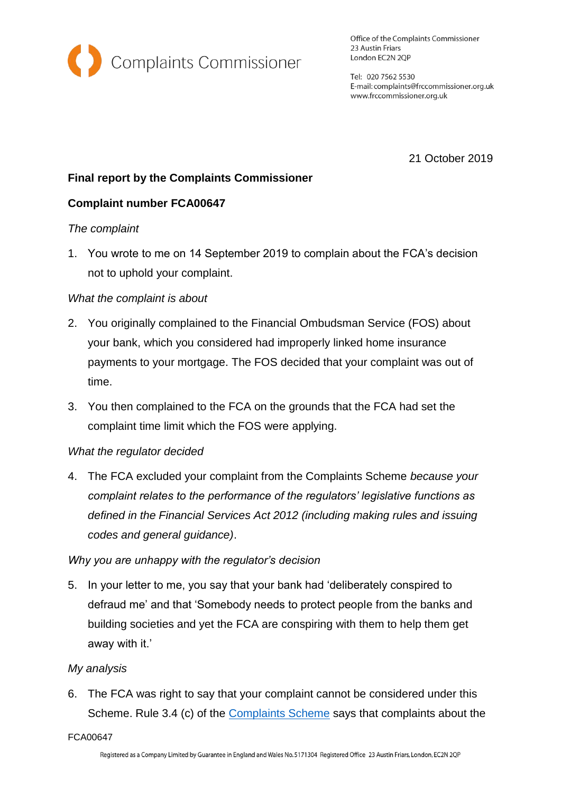

Office of the Complaints Commissioner 23 Austin Friars London EC2N 2QP

Tel: 020 7562 5530 E-mail: complaints@frccommissioner.org.uk www.frccommissioner.org.uk

21 October 2019

# **Final report by the Complaints Commissioner**

## **Complaint number FCA00647**

#### *The complaint*

1. You wrote to me on 14 September 2019 to complain about the FCA's decision not to uphold your complaint.

### *What the complaint is about*

- 2. You originally complained to the Financial Ombudsman Service (FOS) about your bank, which you considered had improperly linked home insurance payments to your mortgage. The FOS decided that your complaint was out of time.
- 3. You then complained to the FCA on the grounds that the FCA had set the complaint time limit which the FOS were applying.

#### *What the regulator decided*

4. The FCA excluded your complaint from the Complaints Scheme *because your complaint relates to the performance of the regulators' legislative functions as defined in the Financial Services Act 2012 (including making rules and issuing codes and general guidance)*.

#### *Why you are unhappy with the regulator's decision*

5. In your letter to me, you say that your bank had 'deliberately conspired to defraud me' and that 'Somebody needs to protect people from the banks and building societies and yet the FCA are conspiring with them to help them get away with it.'

## *My analysis*

6. The FCA was right to say that your complaint cannot be considered under this Scheme. Rule 3.4 (c) of the [Complaints Scheme](http://frccommissioner.org.uk/complaints-scheme/) says that complaints about the

FCA00647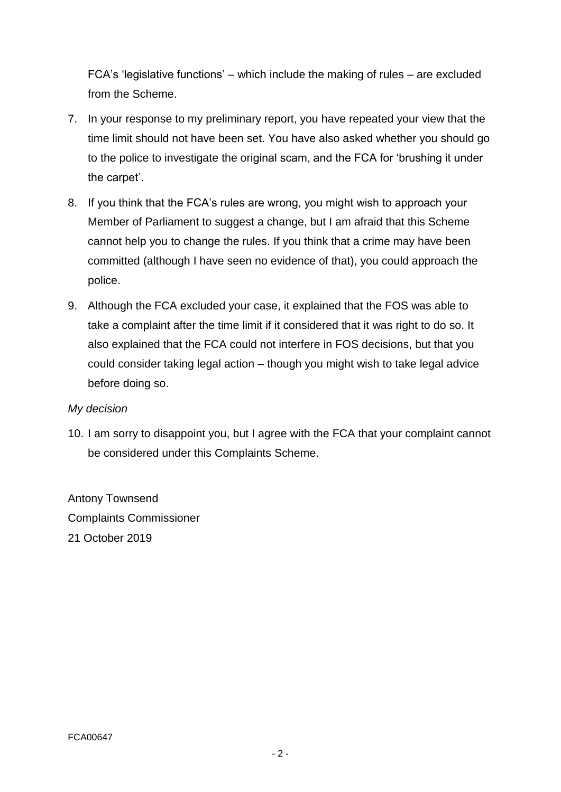FCA's 'legislative functions' – which include the making of rules – are excluded from the Scheme.

- 7. In your response to my preliminary report, you have repeated your view that the time limit should not have been set. You have also asked whether you should go to the police to investigate the original scam, and the FCA for 'brushing it under the carpet'.
- 8. If you think that the FCA's rules are wrong, you might wish to approach your Member of Parliament to suggest a change, but I am afraid that this Scheme cannot help you to change the rules. If you think that a crime may have been committed (although I have seen no evidence of that), you could approach the police.
- 9. Although the FCA excluded your case, it explained that the FOS was able to take a complaint after the time limit if it considered that it was right to do so. It also explained that the FCA could not interfere in FOS decisions, but that you could consider taking legal action – though you might wish to take legal advice before doing so.

## *My decision*

10. I am sorry to disappoint you, but I agree with the FCA that your complaint cannot be considered under this Complaints Scheme.

Antony Townsend Complaints Commissioner 21 October 2019